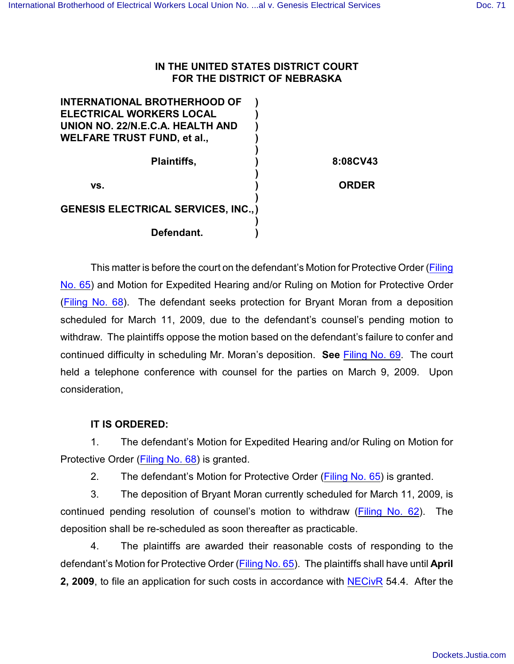## **IN THE UNITED STATES DISTRICT COURT FOR THE DISTRICT OF NEBRASKA**

| <b>INTERNATIONAL BROTHERHOOD OF</b>         |              |
|---------------------------------------------|--------------|
| <b>ELECTRICAL WORKERS LOCAL</b>             |              |
| UNION NO. 22/N.E.C.A. HEALTH AND            |              |
| <b>WELFARE TRUST FUND, et al.,</b>          |              |
|                                             |              |
| <b>Plaintiffs,</b>                          | 8:08CV43     |
|                                             |              |
| VS.                                         | <b>ORDER</b> |
|                                             |              |
| <b>GENESIS ELECTRICAL SERVICES, INC., )</b> |              |
|                                             |              |
| Defendant.                                  |              |
|                                             |              |

This matter is before the court on the defendant's Motion for Protective Order [\(Filing](https://ecf.ned.uscourts.gov/doc1/11301683876) [No. 65](https://ecf.ned.uscourts.gov/doc1/11301683876)) and Motion for Expedited Hearing and/or Ruling on Motion for Protective Order [\(Filing No. 68](https://ecf.ned.uscourts.gov/doc1/11301684157)). The defendant seeks protection for Bryant Moran from a deposition scheduled for March 11, 2009, due to the defendant's counsel's pending motion to withdraw. The plaintiffs oppose the motion based on the defendant's failure to confer and continued difficulty in scheduling Mr. Moran's deposition. **See** [Filing No. 69](https://ecf.ned.uscourts.gov/doc1/11301684766). The court held a telephone conference with counsel for the parties on March 9, 2009. Upon consideration,

## **IT IS ORDERED:**

1. The defendant's Motion for Expedited Hearing and/or Ruling on Motion for Protective Order [\(Filing No. 68](https://ecf.ned.uscourts.gov/doc1/11301684157)) is granted.

2. The defendant's Motion for Protective Order [\(Filing No. 65](https://ecf.ned.uscourts.gov/doc1/11301683876)) is granted.

3. The deposition of Bryant Moran currently scheduled for March 11, 2009, is continued pending resolution of counsel's motion to withdraw [\(Filing No. 62](https://ecf.ned.uscourts.gov/doc1/11311681943)). The deposition shall be re-scheduled as soon thereafter as practicable.

4. The plaintiffs are awarded their reasonable costs of responding to the defendant's Motion for Protective Order (Filing [No. 65](https://ecf.ned.uscourts.gov/doc1/11301683876)). The plaintiffs shall have until **April 2, 2009**, to file an application for such costs in accordance with [NECivR](http://www.ned.uscourts.gov/localrules/NECivR07-1029.pdf) 54.4. After the